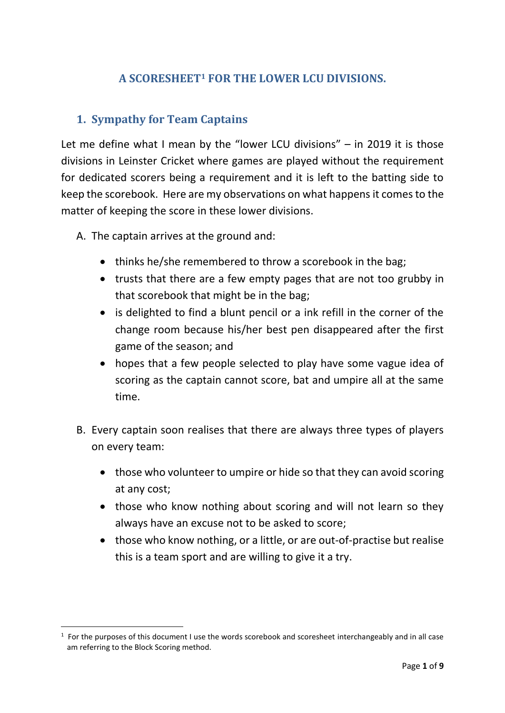# **A SCORESHEET<sup>1</sup> FOR THE LOWER LCU DIVISIONS.**

### **1. Sympathy for Team Captains**

Let me define what I mean by the "lower LCU divisions" – in 2019 it is those divisions in Leinster Cricket where games are played without the requirement for dedicated scorers being a requirement and it is left to the batting side to keep the scorebook. Here are my observations on what happens it comes to the matter of keeping the score in these lower divisions.

A. The captain arrives at the ground and:

1

- thinks he/she remembered to throw a scorebook in the bag;
- trusts that there are a few empty pages that are not too grubby in that scorebook that might be in the bag;
- is delighted to find a blunt pencil or a ink refill in the corner of the change room because his/her best pen disappeared after the first game of the season; and
- hopes that a few people selected to play have some vague idea of scoring as the captain cannot score, bat and umpire all at the same time.
- B. Every captain soon realises that there are always three types of players on every team:
	- those who volunteer to umpire or hide so that they can avoid scoring at any cost;
	- those who know nothing about scoring and will not learn so they always have an excuse not to be asked to score;
	- those who know nothing, or a little, or are out-of-practise but realise this is a team sport and are willing to give it a try.

<sup>&</sup>lt;sup>1</sup> For the purposes of this document I use the words scorebook and scoresheet interchangeably and in all case am referring to the Block Scoring method.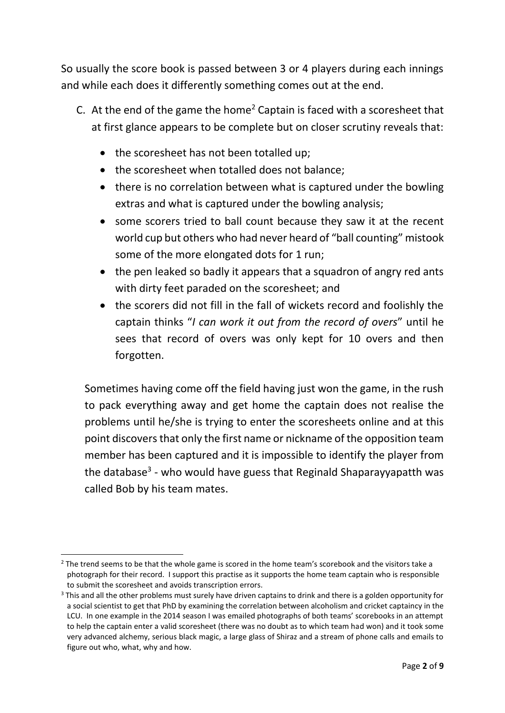So usually the score book is passed between 3 or 4 players during each innings and while each does it differently something comes out at the end.

- C. At the end of the game the home<sup>2</sup> Captain is faced with a scoresheet that at first glance appears to be complete but on closer scrutiny reveals that:
	- the scoresheet has not been totalled up;
	- the scoresheet when totalled does not balance;
	- there is no correlation between what is captured under the bowling extras and what is captured under the bowling analysis;
	- some scorers tried to ball count because they saw it at the recent world cup but others who had never heard of "ball counting" mistook some of the more elongated dots for 1 run;
	- the pen leaked so badly it appears that a squadron of angry red ants with dirty feet paraded on the scoresheet; and
	- the scorers did not fill in the fall of wickets record and foolishly the captain thinks "*I can work it out from the record of overs*" until he sees that record of overs was only kept for 10 overs and then forgotten.

Sometimes having come off the field having just won the game, in the rush to pack everything away and get home the captain does not realise the problems until he/she is trying to enter the scoresheets online and at this point discovers that only the first name or nickname of the opposition team member has been captured and it is impossible to identify the player from the database<sup>3</sup> - who would have guess that Reginald Shaparayyapatth was called Bob by his team mates.

<sup>-</sup><sup>2</sup> The trend seems to be that the whole game is scored in the home team's scorebook and the visitors take a photograph for their record. I support this practise as it supports the home team captain who is responsible to submit the scoresheet and avoids transcription errors.

<sup>&</sup>lt;sup>3</sup> This and all the other problems must surely have driven captains to drink and there is a golden opportunity for a social scientist to get that PhD by examining the correlation between alcoholism and cricket captaincy in the LCU. In one example in the 2014 season I was emailed photographs of both teams' scorebooks in an attempt to help the captain enter a valid scoresheet (there was no doubt as to which team had won) and it took some very advanced alchemy, serious black magic, a large glass of Shiraz and a stream of phone calls and emails to figure out who, what, why and how.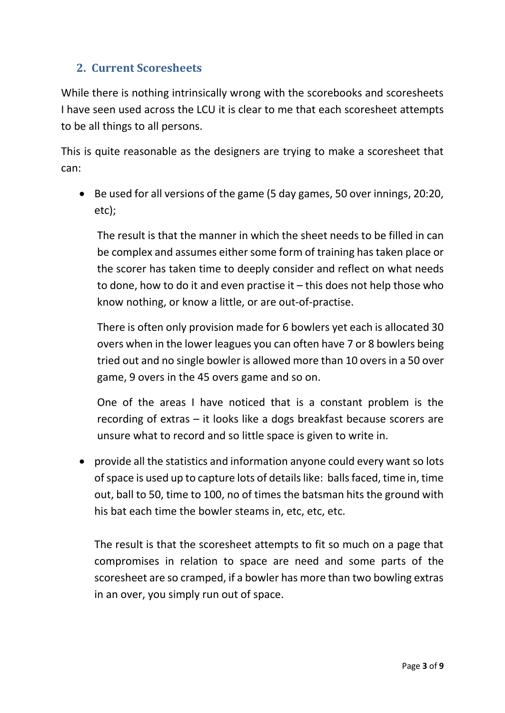# **2. Current Scoresheets**

While there is nothing intrinsically wrong with the scorebooks and scoresheets I have seen used across the LCU it is clear to me that each scoresheet attempts to be all things to all persons.

This is quite reasonable as the designers are trying to make a scoresheet that can:

 Be used for all versions of the game (5 day games, 50 over innings, 20:20, etc);

The result is that the manner in which the sheet needs to be filled in can be complex and assumes either some form of training has taken place or the scorer has taken time to deeply consider and reflect on what needs to done, how to do it and even practise it – this does not help those who know nothing, or know a little, or are out-of-practise.

There is often only provision made for 6 bowlers yet each is allocated 30 overs when in the lower leagues you can often have 7 or 8 bowlers being tried out and no single bowler is allowed more than 10 overs in a 50 over game, 9 overs in the 45 overs game and so on.

One of the areas I have noticed that is a constant problem is the recording of extras – it looks like a dogs breakfast because scorers are unsure what to record and so little space is given to write in.

 provide all the statistics and information anyone could every want so lots of space is used up to capture lots of details like: balls faced, time in, time out, ball to 50, time to 100, no of times the batsman hits the ground with his bat each time the bowler steams in, etc, etc, etc.

The result is that the scoresheet attempts to fit so much on a page that compromises in relation to space are need and some parts of the scoresheet are so cramped, if a bowler has more than two bowling extras in an over, you simply run out of space.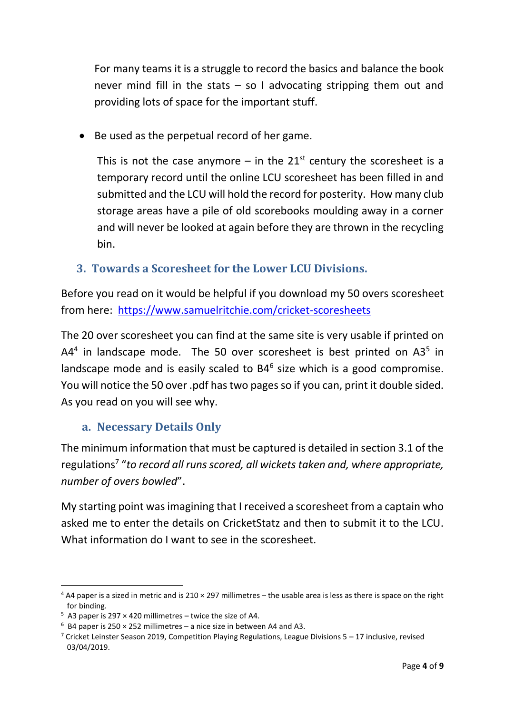For many teams it is a struggle to record the basics and balance the book never mind fill in the stats  $-$  so I advocating stripping them out and providing lots of space for the important stuff.

Be used as the perpetual record of her game.

This is not the case anymore – in the  $21<sup>st</sup>$  century the scoresheet is a temporary record until the online LCU scoresheet has been filled in and submitted and the LCU will hold the record for posterity. How many club storage areas have a pile of old scorebooks moulding away in a corner and will never be looked at again before they are thrown in the recycling bin.

## **3. Towards a Scoresheet for the Lower LCU Divisions.**

Before you read on it would be helpful if you download my 50 overs scoresheet from here: <https://www.samuelritchie.com/cricket-scoresheets>

The 20 over scoresheet you can find at the same site is very usable if printed on  $A4<sup>4</sup>$  in landscape mode. The 50 over scoresheet is best printed on  $A3<sup>5</sup>$  in landscape mode and is easily scaled to B4<sup>6</sup> size which is a good compromise. You will notice the 50 over .pdf has two pages so if you can, print it double sided. As you read on you will see why.

## **a. Necessary Details Only**

The minimum information that must be captured is detailed in section 3.1 of the regulations<sup>7</sup> "*to record all runs scored, all wickets taken and, where appropriate, number of overs bowled*".

My starting point was imagining that I received a scoresheet from a captain who asked me to enter the details on CricketStatz and then to submit it to the LCU. What information do I want to see in the scoresheet.

1

 $4$  A4 paper is a sized in metric and is 210  $\times$  297 millimetres – the usable area is less as there is space on the right for binding.

 $5$  A3 paper is 297  $\times$  420 millimetres – twice the size of A4.

 $6$  B4 paper is 250  $\times$  252 millimetres – a nice size in between A4 and A3.

<sup>&</sup>lt;sup>7</sup> Cricket Leinster Season 2019, Competition Playing Regulations, League Divisions 5 – 17 inclusive, revised 03/04/2019.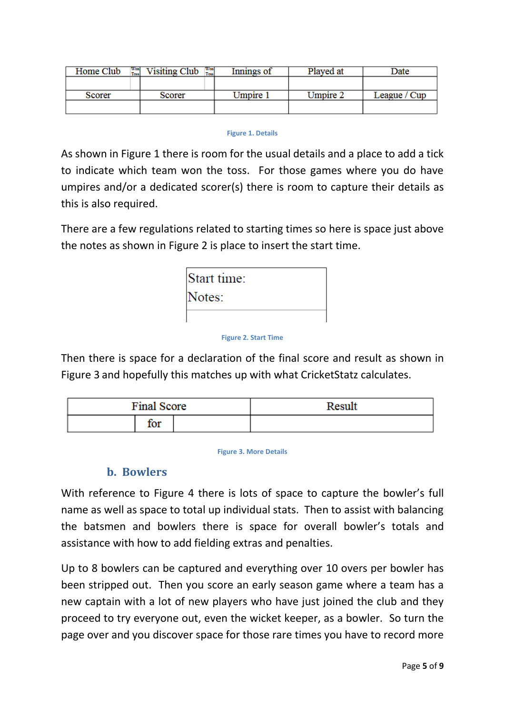| Home Club | Won.<br>Toss. | Visiting Club | <b>Won</b><br>Toss) | Innings of | Played at       | Date         |
|-----------|---------------|---------------|---------------------|------------|-----------------|--------------|
|           |               |               |                     |            |                 |              |
| Scorer    |               | Scorer        |                     | Umpire 1   | <b>Umpire 2</b> | League / Cup |
|           |               |               |                     |            |                 |              |

#### **Figure 1. Details**

<span id="page-4-0"></span>As shown in [Figure 1](#page-4-0) there is room for the usual details and a place to add a tick to indicate which team won the toss. For those games where you do have umpires and/or a dedicated scorer(s) there is room to capture their details as this is also required.

There are a few regulations related to starting times so here is space just above the notes as shown in [Figure 2](#page-4-1) is place to insert the start time.

| Start time: |  |
|-------------|--|
| Notes:      |  |
|             |  |

#### **Figure 2. Start Time**

<span id="page-4-1"></span>Then there is space for a declaration of the final score and result as shown in [Figure 3](#page-4-2) and hopefully this matches up with what CricketStatz calculates.

| <b>Final Score</b>  | Result |
|---------------------|--------|
| <b>START</b><br>TOT |        |

**Figure 3. More Details**

### **b. Bowlers**

<span id="page-4-2"></span>With reference to [Figure 4](#page-5-0) there is lots of space to capture the bowler's full name as well as space to total up individual stats. Then to assist with balancing the batsmen and bowlers there is space for overall bowler's totals and assistance with how to add fielding extras and penalties.

Up to 8 bowlers can be captured and everything over 10 overs per bowler has been stripped out. Then you score an early season game where a team has a new captain with a lot of new players who have just joined the club and they proceed to try everyone out, even the wicket keeper, as a bowler. So turn the page over and you discover space for those rare times you have to record more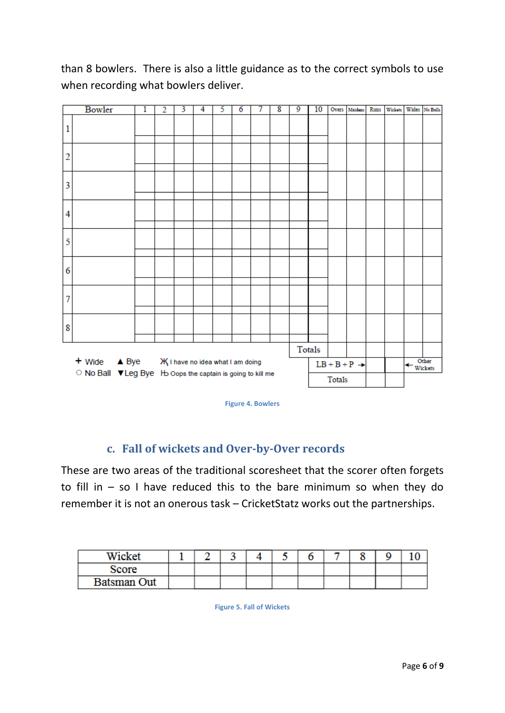than 8 bowlers. There is also a little guidance as to the correct symbols to use when recording what bowlers deliver.

|                                                                       | Bowler                    | 1 | $\overline{2}$ | 3                               | 4 | 5 | 6 | 7 | 8 | 9 | 10     |  | Overs Maidens Runs       | <b>Wickets</b> |                      | Wides No Balls |
|-----------------------------------------------------------------------|---------------------------|---|----------------|---------------------------------|---|---|---|---|---|---|--------|--|--------------------------|----------------|----------------------|----------------|
| 1                                                                     |                           |   |                |                                 |   |   |   |   |   |   |        |  |                          |                |                      |                |
| $\overline{c}$                                                        |                           |   |                |                                 |   |   |   |   |   |   |        |  |                          |                |                      |                |
| 3                                                                     |                           |   |                |                                 |   |   |   |   |   |   |        |  |                          |                |                      |                |
| 4                                                                     |                           |   |                |                                 |   |   |   |   |   |   |        |  |                          |                |                      |                |
| 5                                                                     |                           |   |                |                                 |   |   |   |   |   |   |        |  |                          |                |                      |                |
| 6                                                                     |                           |   |                |                                 |   |   |   |   |   |   |        |  |                          |                |                      |                |
| $\overline{7}$                                                        |                           |   |                |                                 |   |   |   |   |   |   |        |  |                          |                |                      |                |
| 8                                                                     |                           |   |                |                                 |   |   |   |   |   |   |        |  |                          |                |                      |                |
|                                                                       |                           |   |                |                                 |   |   |   |   |   |   | Totals |  |                          |                |                      |                |
|                                                                       | + Wide<br>$\triangle$ Bye |   |                | Ж∣ have no idea what I am doing |   |   |   |   |   |   |        |  | $LB + B + P \rightarrow$ |                | $\leftarrow$ Wickets | Other          |
| ○ No Ball ▼ Leg Bye Ho Oops the captain is going to kill me<br>Totals |                           |   |                |                                 |   |   |   |   |   |   |        |  |                          |                |                      |                |

**Figure 4. Bowlers**

### <span id="page-5-0"></span>**c. Fall of wickets and Over-by-Over records**

These are two areas of the traditional scoresheet that the scorer often forgets to fill in  $-$  so I have reduced this to the bare minimum so when they do remember it is not an onerous task – CricketStatz works out the partnerships.

| Wicket             |  |  |  |  |  |
|--------------------|--|--|--|--|--|
| Score              |  |  |  |  |  |
| <b>Batsman Out</b> |  |  |  |  |  |

**Figure 5. Fall of Wickets**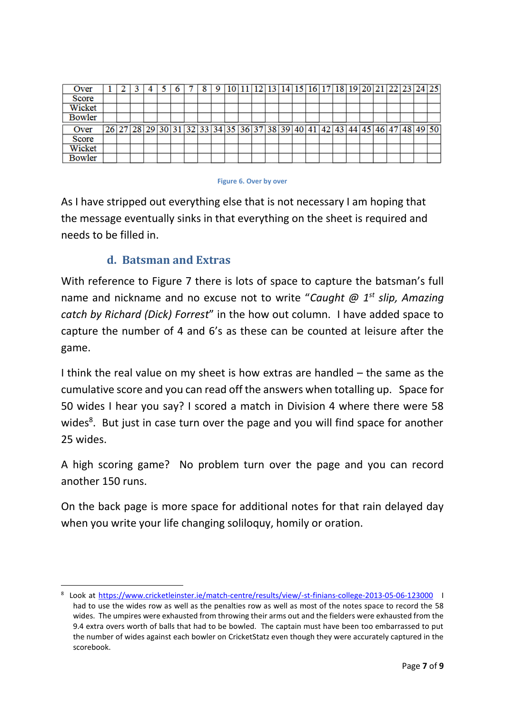| Over          |  |  |  | 8 | -9 |  |  |  |  |  |  |                                                                            | 10 11 12 13 14 15 16 17 18 19 20 21 22 23 24 25 |  |
|---------------|--|--|--|---|----|--|--|--|--|--|--|----------------------------------------------------------------------------|-------------------------------------------------|--|
| <b>Score</b>  |  |  |  |   |    |  |  |  |  |  |  |                                                                            |                                                 |  |
| Wicket        |  |  |  |   |    |  |  |  |  |  |  |                                                                            |                                                 |  |
| <b>Bowler</b> |  |  |  |   |    |  |  |  |  |  |  |                                                                            |                                                 |  |
|               |  |  |  |   |    |  |  |  |  |  |  |                                                                            |                                                 |  |
| Over          |  |  |  |   |    |  |  |  |  |  |  | 26 27 28 29 30 31 32 33 34 35 36 37 38 39 40 41 42 43 44 45 46 47 48 49 50 |                                                 |  |
| <b>Score</b>  |  |  |  |   |    |  |  |  |  |  |  |                                                                            |                                                 |  |
| Wicket        |  |  |  |   |    |  |  |  |  |  |  |                                                                            |                                                 |  |

#### **Figure 6. Over by over**

As I have stripped out everything else that is not necessary I am hoping that the message eventually sinks in that everything on the sheet is required and needs to be filled in.

### **d. Batsman and Extras**

1

With reference to [Figure 7](#page-7-0) there is lots of space to capture the batsman's full name and nickname and no excuse not to write "*Caught @ 1st slip, Amazing catch by Richard (Dick) Forrest*" in the how out column. I have added space to capture the number of 4 and 6's as these can be counted at leisure after the game.

I think the real value on my sheet is how extras are handled – the same as the cumulative score and you can read off the answers when totalling up. Space for 50 wides I hear you say? I scored a match in Division 4 where there were 58 wides<sup>8</sup>. But just in case turn over the page and you will find space for another 25 wides.

A high scoring game? No problem turn over the page and you can record another 150 runs.

On the back page is more space for additional notes for that rain delayed day when you write your life changing soliloquy, homily or oration.

<sup>8</sup> Look at <https://www.cricketleinster.ie/match-centre/results/view/-st-finians-college-2013-05-06-123000>I had to use the wides row as well as the penalties row as well as most of the notes space to record the 58 wides. The umpires were exhausted from throwing their arms out and the fielders were exhausted from the 9.4 extra overs worth of balls that had to be bowled. The captain must have been too embarrassed to put the number of wides against each bowler on CricketStatz even though they were accurately captured in the scorebook.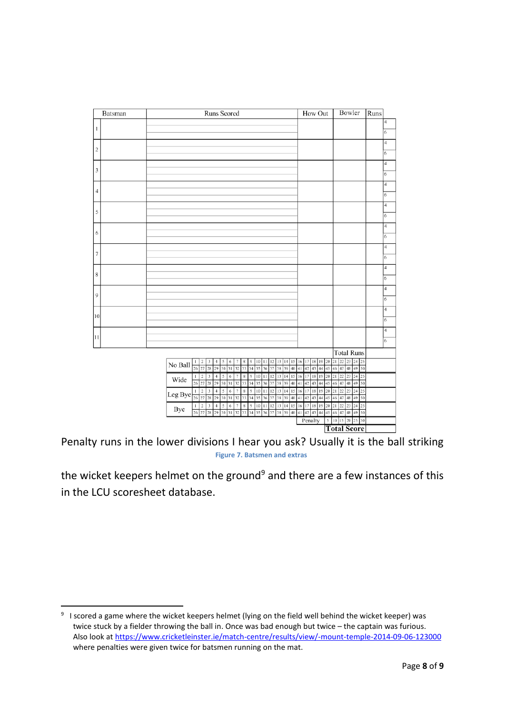| Batsman       | Runs Scored                                                                                                                  |                                                                                                                                            | How Out                                                                  | Bowler                                                   | Runs                          |
|---------------|------------------------------------------------------------------------------------------------------------------------------|--------------------------------------------------------------------------------------------------------------------------------------------|--------------------------------------------------------------------------|----------------------------------------------------------|-------------------------------|
| $\mathbf{1}$  |                                                                                                                              |                                                                                                                                            |                                                                          |                                                          | $\overline{4}$                |
|               |                                                                                                                              |                                                                                                                                            |                                                                          |                                                          | 6                             |
| $\,2$         |                                                                                                                              |                                                                                                                                            |                                                                          |                                                          | $\overline{\mathcal{A}}$<br>6 |
|               |                                                                                                                              |                                                                                                                                            |                                                                          |                                                          | $\overline{\mathbf{4}}$       |
| $\mathfrak z$ |                                                                                                                              |                                                                                                                                            |                                                                          |                                                          | 6                             |
|               |                                                                                                                              |                                                                                                                                            |                                                                          |                                                          | $\overline{\mathbf{4}}$       |
| $\sqrt{4}$    |                                                                                                                              |                                                                                                                                            |                                                                          |                                                          | 6                             |
| 5             |                                                                                                                              |                                                                                                                                            |                                                                          |                                                          | $\overline{\mathbf{4}}$       |
|               |                                                                                                                              |                                                                                                                                            |                                                                          |                                                          | 6                             |
| $\sqrt{6}$    |                                                                                                                              |                                                                                                                                            |                                                                          |                                                          | $\overline{\mathbf{4}}$<br>6  |
|               |                                                                                                                              |                                                                                                                                            |                                                                          |                                                          | $\overline{\mathbf{4}}$       |
| $\tau$        |                                                                                                                              |                                                                                                                                            |                                                                          |                                                          | 6                             |
|               |                                                                                                                              |                                                                                                                                            |                                                                          |                                                          | $\overline{\mathbf{4}}$       |
| 8             |                                                                                                                              |                                                                                                                                            |                                                                          |                                                          | 6                             |
| 9             |                                                                                                                              |                                                                                                                                            |                                                                          |                                                          | $\overline{\mathbf{4}}$       |
|               |                                                                                                                              |                                                                                                                                            |                                                                          |                                                          | 6                             |
| 10            |                                                                                                                              |                                                                                                                                            |                                                                          |                                                          | 4<br>6                        |
|               |                                                                                                                              |                                                                                                                                            |                                                                          |                                                          | $\overline{\mathbf{4}}$       |
| 11            |                                                                                                                              |                                                                                                                                            |                                                                          |                                                          | 6                             |
|               |                                                                                                                              |                                                                                                                                            |                                                                          | Total Runs                                               |                               |
|               | 3<br>$\ddot{4}$<br>5<br>$\overline{\mathbf{c}}$<br>1<br>No Ball                                                              | 9<br>10<br>13<br>14 15<br>6<br>7<br>8<br> 11<br>$12$                                                                                       | 20<br>18<br>19<br>16<br>17                                               | 23<br>21<br>$22\,$<br>24 25                              |                               |
|               | $\overline{26}$<br>27<br>29<br>30<br>28<br>$\,2\,$<br>3<br>$\overline{4}$<br>5<br>$\mathbf{I}$                               | 38<br>39<br>$\overline{31}$<br>32<br>33<br>34<br>37<br>40<br>35<br>36<br>9<br>12<br>13<br>14<br>6<br>7<br>8<br>10<br>15<br>11              | 41<br>$\overline{42}$<br>44<br>45<br>43<br>19<br>20 21<br>16<br>17<br>18 | 48<br>49<br>50<br>46<br>47<br>22<br>23<br>24 25          |                               |
|               | Wide<br>26<br>27<br>28<br>29<br>30                                                                                           | 32<br>35<br>37<br>38<br>39<br>40<br>31<br>33<br>34<br>36                                                                                   | 41<br>42<br>44<br>45<br>43                                               | 49<br>50<br>46<br>47<br>48                               |                               |
|               | $\sqrt{2}$<br>$\,$ 3 $\,$<br>$\sqrt{4}$<br>5<br>$\mathbf{I}$<br>Leg Bye<br>$\overline{26}$ $\overline{27}$<br>28<br>29<br>30 | 14<br>9<br>10<br>12<br>13<br>$\overline{\phantom{a}}$<br>8<br>11<br>15<br>6<br>39<br>37<br>38<br>40 41<br>31<br>32<br>33<br>34<br>35<br>36 | $18\,$<br>19<br>20<br>16<br>17<br>42<br>43<br>44<br>45                   | 21<br>22<br>23<br>24<br>25<br>46<br>47<br>49<br>50<br>48 |                               |
|               | $\sqrt{3}$<br>$\boldsymbol{2}$<br>$\ddot{4}$<br>5<br>-1<br>Bye<br>26 27<br>28<br>29<br>30                                    | 10 11 12 13 14 15<br>8<br>9<br>6<br>7<br>38 39 40 41<br>31 32<br>$\overline{33}$<br>36<br>37<br>34<br>35                                   | 20<br>16<br>17<br>$18\,$<br>19<br>42<br>43 44<br>45                      | 21<br>22<br>23<br>24<br>25<br>46<br>48<br>49<br>50<br>47 |                               |
|               |                                                                                                                              |                                                                                                                                            | Penalty<br>$\boldsymbol{5}$                                              | 10 15 20 25 30                                           |                               |
|               |                                                                                                                              |                                                                                                                                            |                                                                          | <b>Total Score</b>                                       |                               |

<span id="page-7-0"></span>Penalty runs in the lower divisions I hear you ask? Usually it is the ball striking **Figure 7. Batsmen and extras**

the wicket keepers helmet on the ground<sup>9</sup> and there are a few instances of this in the LCU scoresheet database.

1

<sup>&</sup>lt;sup>9</sup> I scored a game where the wicket keepers helmet (lying on the field well behind the wicket keeper) was twice stuck by a fielder throwing the ball in. Once was bad enough but twice – the captain was furious. Also look at https://www.cricketleinster.ie/match-centre/results/view/-mount-temple-2014-09-06-123000 where penalties were given twice for batsmen running on the mat.